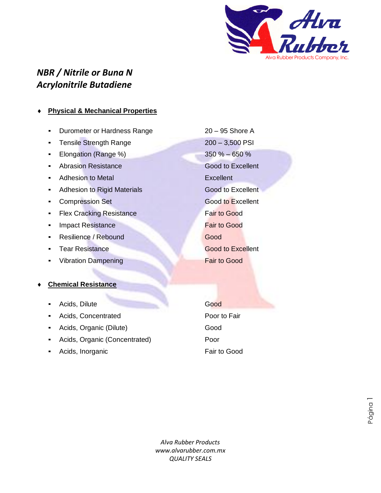

## *NBR / Nitrile or Buna N Acrylonitrile Butadiene*

## **Physical & Mechanical Properties**

- Durometer or Hardness Range 20 95 Shore A
- Tensile Strength Range 200 3,500 PSI
- Elongation (Range %) 350 % 650 %
- **Abrasion Resistance Good to Excellent**
- Adhesion to Metal **Excellent**
- **Adhesion to Rigid Materials Good to Excellent**
- **Compression Set Good to Excellent**
- **EXA** Flex Cracking Resistance **Fair to Good**
- **Example 1** Impact Resistance **Fair to Good**
- Resilience / Rebound Good
- 
- **Vibration Dampening Fair to Good**
- **Chemical Resistance**
	- **Acids, Dilute Good** Good
	- Acids, Concentrated **Poor to Fair**
	- Acids, Organic (Dilute) Good
	- Acids, Organic (Concentrated) Poor
	- Acids, Inorganic **Fair to Good**

**Tear Resistance Cood to Excellent** 

*Alva Rubber Products www.alvarubber.com.mx QUALITY SEALS* bbe<br>Y S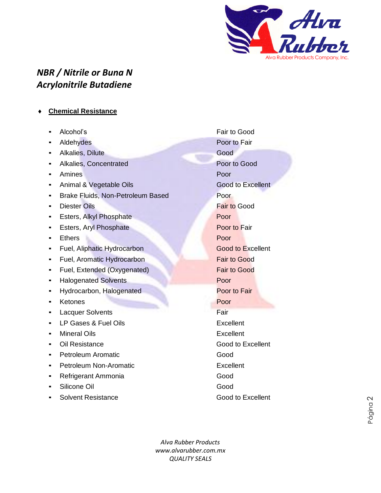

## *NBR / Nitrile or Buna N Acrylonitrile Butadiene*

- **Chemical Resistance**
	- Alcohol's Fair to Good
	- **Example 3 Aldehydes** Poor to Fair
	- **Alkalies, Dilute Good**
	- **Alkalies, Concentrated Poor to Good**
	- Amines Poor
	- Animal & Vegetable Oils Good to Excellent
	- **Brake Fluids, Non-Petroleum Based Poor**
	-
	- **Esters, Alkyl Phosphate Poor**
	- **Esters, Aryl Phosphate Poor to Fair**
	- Ethers Poor
	- Fuel, Aliphatic Hydrocarbon Good to Excellent
	- Fuel, Aromatic Hydrocarbon **Fair to Good**
	- **Fuel, Extended (Oxygenated)** Fuel, Extended (Oxygenated)
	- **EXECUTE:** Halogenated Solvents **Poor**
	- **Hydrocarbon, Halogenated Poor to Fair**
	- **Exercise Security Actores Poor**
	- **Lacquer Solvents** Fair
	- LP Gases & Fuel Oils **Excellent**
	- **Mineral Oils Excellent**
	- Oil Resistance Good to Excellent
	- **Petroleum Aromatic Good**
	- **Petroleum Non-Aromatic Excellent**
	- **Refrigerant Ammonia** Good
	- **Silicone Oil** Good Good
	- **Solvent Resistance** Good to Excellent

**Diester Oils Fair to Good** 

*Alva Rubber Products www.alvarubber.com.mx QUALITY SEALS* bbe<br>Y S